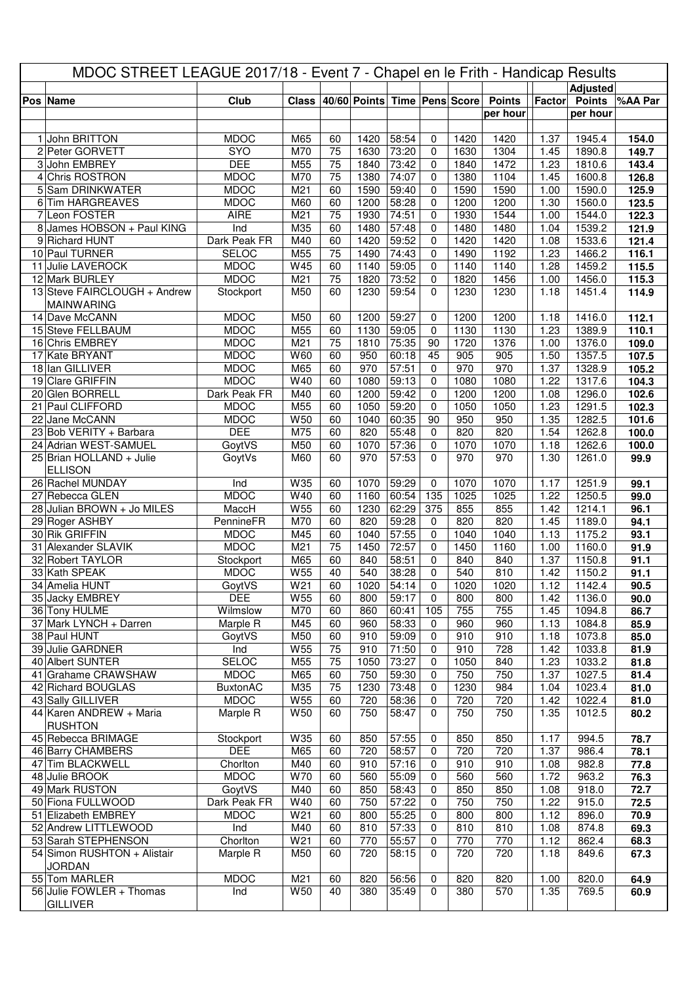| MDOC STREET LEAGUE 2017/18 - Event 7 - Chapel en le Frith - Handicap Results |                                              |                                |                 |                       |                                    |                |                  |              |               |              |                  |                |
|------------------------------------------------------------------------------|----------------------------------------------|--------------------------------|-----------------|-----------------------|------------------------------------|----------------|------------------|--------------|---------------|--------------|------------------|----------------|
|                                                                              |                                              |                                |                 |                       |                                    |                |                  |              |               |              | <b>Adjusted</b>  |                |
|                                                                              | Pos Name                                     | Club                           |                 |                       | Class 40/60 Points Time Pens Score |                |                  |              | <b>Points</b> | Factor       | <b>Points</b>    | %AA Par        |
|                                                                              |                                              |                                |                 |                       |                                    |                |                  |              | per hour      |              | per hour         |                |
|                                                                              | 1 John BRITTON                               | <b>MDOC</b>                    | M65             | 60                    | 1420                               | 58:54          | 0                | 1420         | 1420          | 1.37         | 1945.4           | 154.0          |
|                                                                              | 2 Peter GORVETT                              | <b>SYO</b>                     | M70             | $\overline{75}$       | 1630                               | 73:20          | $\mathbf 0$      | 1630         | 1304          | 1.45         | 1890.8           | 149.7          |
|                                                                              | 3 John EMBREY                                | <b>DEE</b>                     | M55             | 75                    | 1840                               | 73:42          | 0                | 1840         | 1472          | 1.23         | 1810.6           | 143.4          |
|                                                                              | 4 Chris ROSTRON                              | <b>MDOC</b>                    | M70             | 75                    | 1380                               | 74:07          | 0                | 1380         | 1104          | 1.45         | 1600.8           | 126.8          |
|                                                                              | 5 Sam DRINKWATER                             | <b>MDOC</b>                    | M21             | 60                    | 1590                               | 59:40          | 0                | 1590         | 1590          | 1.00         | 1590.0           | 125.9          |
|                                                                              | 6 Tim HARGREAVES                             | <b>MDOC</b>                    | M60             | 60                    | 1200                               | 58:28          | 0                | 1200         | 1200          | 1.30         | 1560.0           | 123.5          |
|                                                                              | 7 Leon FOSTER                                | <b>AIRE</b>                    | M <sub>21</sub> | $\overline{75}$       | 1930                               | 74:51          | 0                | 1930         | 1544          | 1.00         | 1544.0           | 122.3          |
|                                                                              | 8 James HOBSON + Paul KING<br>9 Richard HUNT | Ind<br>Dark Peak FR            | M35<br>M40      | 60<br>60              | 1480<br>1420                       | 57:48<br>59:52 | 0<br>0           | 1480<br>1420 | 1480<br>1420  | 1.04<br>1.08 | 1539.2<br>1533.6 | 121.9<br>121.4 |
|                                                                              | 10 Paul TURNER                               | <b>SELOC</b>                   | M55             | $\overline{75}$       | 1490                               | 74:43          | 0                | 1490         | 1192          | 1.23         | 1466.2           | 116.1          |
|                                                                              | 11 Julie LAVEROCK                            | <b>MDOC</b>                    | W45             | 60                    | 1140                               | 59:05          | 0                | 1140         | 1140          | 1.28         | 1459.2           | 115.5          |
|                                                                              | 12 Mark BURLEY                               | <b>MDOC</b>                    | M21             | 75                    | 1820                               | 73:52          | 0                | 1820         | 1456          | 1.00         | 1456.0           | 115.3          |
|                                                                              | 13 Steve FAIRCLOUGH + Andrew                 | Stockport                      | M50             | 60                    | 1230                               | 59:54          | $\Omega$         | 1230         | 1230          | 1.18         | 1451.4           | 114.9          |
|                                                                              | <b>MAINWARING</b>                            |                                |                 |                       |                                    |                |                  |              |               |              |                  |                |
|                                                                              | 14 Dave McCANN                               | <b>MDOC</b>                    | M50             | 60                    | 1200                               | 59:27          | 0                | 1200         | 1200          | 1.18         | 1416.0           | 112.1          |
|                                                                              | 15 Steve FELLBAUM                            | <b>MDOC</b>                    | M55             | 60                    | 1130                               | 59:05          | 0                | 1130         | 1130          | 1.23         | 1389.9           | 110.1          |
|                                                                              | 16 Chris EMBREY<br>17 Kate BRYANT            | <b>MDOC</b><br><b>MDOC</b>     | M21<br>W60      | $\overline{75}$<br>60 | 1810<br>950                        | 75:35<br>60:18 | 90<br>45         | 1720<br>905  | 1376<br>905   | 1.00<br>1.50 | 1376.0<br>1357.5 | 109.0<br>107.5 |
|                                                                              | 18 Ian GILLIVER                              | <b>MDOC</b>                    | M65             | 60                    | 970                                | 57:51          | $\mathbf 0$      | 970          | 970           | 1.37         | 1328.9           | 105.2          |
|                                                                              | 19 Clare GRIFFIN                             | <b>MDOC</b>                    | W40             | 60                    | 1080                               | 59:13          | 0                | 1080         | 1080          | 1.22         | 1317.6           | 104.3          |
|                                                                              | 20 Glen BORRELL                              | Dark Peak FR                   | M40             | 60                    | 1200                               | 59:42          | 0                | 1200         | 1200          | 1.08         | 1296.0           | 102.6          |
|                                                                              | 21 Paul CLIFFORD                             | <b>MDOC</b>                    | M55             | 60                    | 1050                               | 59:20          | 0                | 1050         | 1050          | 1.23         | 1291.5           | 102.3          |
|                                                                              | 22 Jane McCANN                               | <b>MDOC</b>                    | W50             | 60                    | 1040                               | 60:35          | 90               | 950          | 950           | 1.35         | 1282.5           | 101.6          |
|                                                                              | 23 Bob VERITY + Barbara                      | <b>DEE</b>                     | M75             | 60                    | 820                                | 55:48          | 0                | 820          | 820           | 1.54         | 1262.8           | 100.0          |
|                                                                              | 24 Adrian WEST-SAMUEL                        | GoytVS                         | M50             | 60                    | 1070                               | 57:36          | 0                | 1070         | 1070          | 1.18         | 1262.6           | 100.0          |
|                                                                              | 25 Brian HOLLAND + Julie<br><b>ELLISON</b>   | GoytVs                         | M60             | 60                    | 970                                | 57:53          | $\Omega$         | 970          | 970           | 1.30         | 1261.0           | 99.9           |
|                                                                              | 26 Rachel MUNDAY                             | Ind                            | W35             | 60                    | 1070                               | 59:29          | 0                | 1070         | 1070          | 1.17         | 1251.9           | 99.1           |
|                                                                              | 27 Rebecca GLEN                              | <b>MDOC</b>                    | W40             | 60                    | 1160                               | 60:54          | 135              | 1025         | 1025          | 1.22         | 1250.5           | 99.0           |
|                                                                              | 28 Julian BROWN + Jo MILES                   | MaccH                          | W55             | 60                    | 1230                               | 62:29          | 375              | 855          | 855           | 1.42         | 1214.1           | 96.1           |
|                                                                              | 29 Roger ASHBY                               | PennineFR                      | M70             | 60                    | 820                                | 59:28          | 0                | 820          | 820           | 1.45         | 1189.0           | 94.1           |
|                                                                              | 30 Rik GRIFFIN                               | <b>MDOC</b>                    | M45             | 60                    | 1040                               | 57:55          | 0                | 1040         | 1040          | 1.13         | 1175.2           | 93.1           |
|                                                                              | 31 Alexander SLAVIK                          | <b>MDOC</b>                    | M21             | $\overline{75}$       | 1450                               | 72:57          | 0                | 1450         | 1160          | 1.00         | 1160.0           | 91.9           |
|                                                                              | 32 Robert TAYLOR                             | Stockport                      | M65             | 60                    | 840                                | 58:51          | 0                | 840          | 840           | 1.37         | 1150.8           | 91.1           |
|                                                                              | 33 Kath SPEAK<br>34 Amelia HUNT              | <b>MDOC</b><br>GoytVS          | W55<br>W21      | 40<br>60              | 540<br>1020                        | 38:28<br>54:14 | $\mathbf 0$<br>0 | 540<br>1020  | 810<br>1020   | 1.42<br>1.12 | 1150.2<br>1142.4 | 91.1<br>90.5   |
|                                                                              | 35 Jacky EMBREY                              | <b>DEE</b>                     | W <sub>55</sub> | 60                    | 800                                | 59:17          | $\mathbf 0$      | 800          | 800           | 1.42         | 1136.0           | 90.0           |
|                                                                              | 36 Tony HULME                                | Wilmslow                       | M70             | 60                    | 860                                | 60:41          | 105              | 755          | 755           | 1.45         | 1094.8           | 86.7           |
|                                                                              | 37 Mark LYNCH + Darren                       | Marple R                       | M45             | 60                    | 960                                | 58:33          | $\mathbf 0$      | 960          | 960           | 1.13         | 1084.8           | 85.9           |
|                                                                              | 38 Paul HUNT                                 | GoytVS                         | M50             | 60                    | 910                                | 59:09          | 0                | 910          | 910           | 1.18         | 1073.8           | 85.0           |
|                                                                              | 39 Julie GARDNER                             | Ind                            | W55             | 75                    | 910                                | 71:50          | 0                | 910          | 728           | 1.42         | 1033.8           | 81.9           |
|                                                                              | 40 Albert SUNTER                             | <b>SELOC</b>                   | M55             | 75                    | 1050                               | 73:27          | 0                | 1050         | 840           | 1.23         | 1033.2           | 81.8           |
|                                                                              | 41 Grahame CRAWSHAW                          | <b>MDOC</b>                    | M65             | 60                    | 750                                | 59:30          | 0                | 750          | 750           | 1.37         | 1027.5           | 81.4           |
|                                                                              | 42 Richard BOUGLAS<br>43 Sally GILLIVER      | <b>BuxtonAC</b><br><b>MDOC</b> | M35<br>W55      | 75<br>60              | 1230<br>720                        | 73:48<br>58:36 | 0<br>0           | 1230<br>720  | 984<br>720    | 1.04<br>1.42 | 1023.4<br>1022.4 | 81.0<br>81.0   |
|                                                                              | 44 Karen ANDREW + Maria                      | Marple R                       | W <sub>50</sub> | 60                    | 750                                | 58:47          | 0                | 750          | 750           | 1.35         | 1012.5           | 80.2           |
|                                                                              | <b>RUSHTON</b>                               |                                |                 |                       |                                    |                |                  |              |               |              |                  |                |
|                                                                              | 45 Rebecca BRIMAGE                           | Stockport                      | W35             | 60                    | 850                                | 57:55          | 0                | 850          | 850           | 1.17         | 994.5            | 78.7           |
|                                                                              | 46 Barry CHAMBERS                            | <b>DEE</b>                     | M65             | 60                    | 720                                | 58:57          | 0                | 720          | 720           | 1.37         | 986.4            | 78.1           |
|                                                                              | 47 Tim BLACKWELL                             | Chorlton                       | M40             | 60                    | 910                                | 57:16          | 0                | 910          | 910           | 1.08         | 982.8            | 77.8           |
|                                                                              | 48 Julie BROOK                               | <b>MDOC</b>                    | W70             | 60                    | 560                                | 55:09          | 0                | 560          | 560           | 1.72         | 963.2            | 76.3           |
|                                                                              | 49 Mark RUSTON                               | GoytVS                         | M40             | 60                    | 850                                | 58:43          | 0                | 850          | 850           | 1.08         | 918.0            | 72.7           |
|                                                                              | 50 Fiona FULLWOOD<br>51 Elizabeth EMBREY     | Dark Peak FR<br><b>MDOC</b>    | W40<br>W21      | 60<br>60              | 750<br>800                         | 57:22<br>55:25 | 0<br>0           | 750<br>800   | 750<br>800    | 1.22<br>1.12 | 915.0<br>896.0   | 72.5<br>70.9   |
|                                                                              | 52 Andrew LITTLEWOOD                         | Ind                            | M40             | 60                    | 810                                | 57:33          | 0                | 810          | 810           | 1.08         | 874.8            | 69.3           |
|                                                                              | 53 Sarah STEPHENSON                          | Chorlton                       | W21             | 60                    | 770                                | 55:57          | 0                | 770          | 770           | 1.12         | 862.4            | 68.3           |
|                                                                              | 54 Simon RUSHTON + Alistair                  | Marple R                       | M50             | 60                    | 720                                | 58:15          | 0                | 720          | 720           | 1.18         | 849.6            | 67.3           |
|                                                                              | <b>JORDAN</b>                                |                                |                 |                       |                                    |                |                  |              |               |              |                  |                |
|                                                                              | 55 Tom MARLER                                | <b>MDOC</b>                    | M21             | 60                    | 820                                | 56:56          | 0                | 820          | 820           | 1.00         | 820.0            | 64.9           |
|                                                                              | 56 Julie FOWLER + Thomas                     | Ind                            | W50             | 40                    | 380                                | 35:49          | 0                | 380          | 570           | 1.35         | 769.5            | 60.9           |
|                                                                              | <b>GILLIVER</b>                              |                                |                 |                       |                                    |                |                  |              |               |              |                  |                |